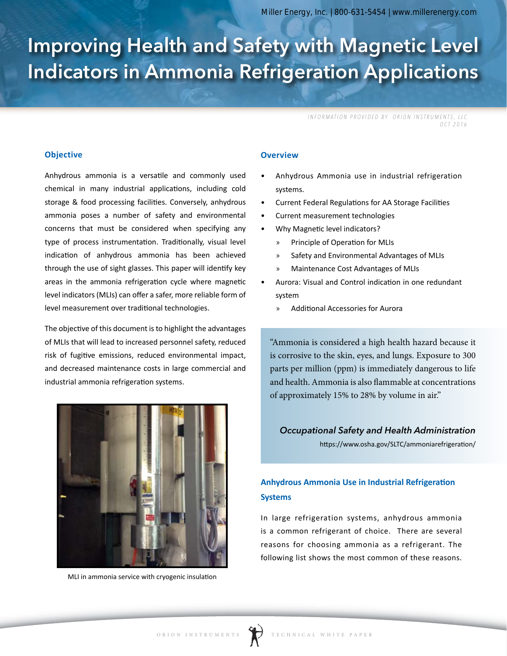# Improving Health and Safety with Magnetic Level Indicators in Ammonia Refrigeration Applications

*INFORMATION PROVIDED BY ORION INSTRUMENTS, LLC OCT 2016*

## **Objective**

Anhydrous ammonia is a versatile and commonly used chemical in many industrial applications, including cold storage & food processing facilities. Conversely, anhydrous ammonia poses a number of safety and environmental concerns that must be considered when specifying any type of process instrumentation. Traditionally, visual level indication of anhydrous ammonia has been achieved through the use of sight glasses. This paper will identify key areas in the ammonia refrigeration cycle where magnetic level indicators (MLIs) can offer a safer, more reliable form of level measurement over traditional technologies.

The objective of this document is to highlight the advantages of MLIs that will lead to increased personnel safety, reduced risk of fugitive emissions, reduced environmental impact, and decreased maintenance costs in large commercial and industrial ammonia refrigeration systems.



MLI in ammonia service with cryogenic insulation

### **Overview**

- Anhydrous Ammonia use in industrial refrigeration systems.
- Current Federal Regulations for AA Storage Facilities
- Current measurement technologies
- Why Magnetic level indicators?
	- » Principle of Operation for MLIs
	- » Safety and Environmental Advantages of MLIs
	- » Maintenance Cost Advantages of MLIs
- Aurora: Visual and Control indication in one redundant system
	- » Additional Accessories for Aurora

"Ammonia is considered a high health hazard because it is corrosive to the skin, eyes, and lungs. Exposure to 300 parts per million (ppm) is immediately dangerous to life and health. Ammonia is also flammable at concentrations of approximately 15% to 28% by volume in air."

*Occupational Safety and Health Administration* https://www.osha.gov/SLTC/ammoniarefrigeration/

## **Anhydrous Ammonia Use in Industrial Refrigeration Systems**

In large refrigeration systems, anhydrous ammonia is a common refrigerant of choice. There are several reasons for choosing ammonia as a refrigerant. The following list shows the most common of these reasons.

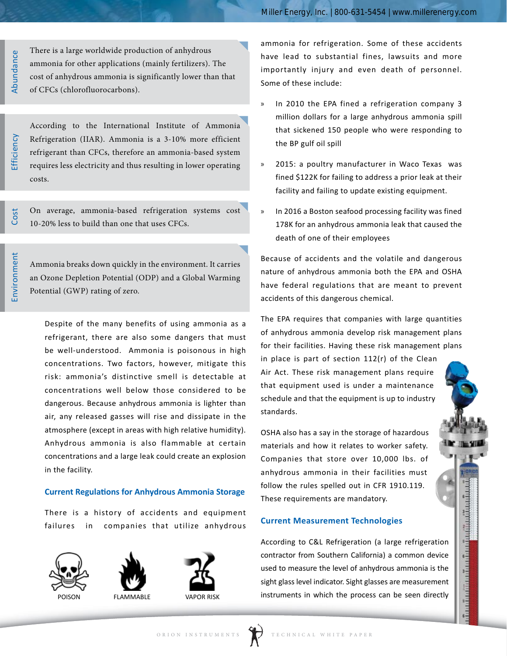Abundance Abundance There is a large worldwide production of anhydrous ammonia for other applications (mainly fertilizers). The cost of anhydrous ammonia is significantly lower than that of CFCs (chlorofluorocarbons).

Efficiency

Cost

According to the International Institute of Ammonia Refrigeration (IIAR). Ammonia is a 3-10% more efficient refrigerant than CFCs, therefore an ammonia-based system requires less electricity and thus resulting in lower operating costs.

On average, ammonia-based refrigeration systems cost 10-20% less to build than one that uses CFCs.

Ammonia breaks down quickly in the environment. It carries an Ozone Depletion Potential (ODP) and a Global Warming Potential (GWP) rating of zero.

Despite of the many benefits of using ammonia as a refrigerant, there are also some dangers that must be well-understood. Ammonia is poisonous in high concentrations. Two factors, however, mitigate this risk: ammonia's distinctive smell is detectable at concentrations well below those considered to be dangerous. Because anhydrous ammonia is lighter than air, any released gasses will rise and dissipate in the atmosphere (except in areas with high relative humidity). Anhydrous ammonia is also flammable at certain concentrations and a large leak could create an explosion in the facility.

## **Current Regulations for Anhydrous Ammonia Storage**

There is a history of accidents and equipment failures in companies that utilize anhydrous









ammonia for refrigeration. Some of these accidents have lead to substantial fines, lawsuits and more importantly injury and even death of personnel. Some of these include:

- In 2010 the EPA fined a refrigeration company 3 million dollars for a large anhydrous ammonia spill that sickened 150 people who were responding to the BP gulf oil spill
- » 2015: a poultry manufacturer in Waco Texas was fined \$122K for failing to address a prior leak at their facility and failing to update existing equipment.
- In 2016 a Boston seafood processing facility was fined 178K for an anhydrous ammonia leak that caused the death of one of their employees

Because of accidents and the volatile and dangerous nature of anhydrous ammonia both the EPA and OSHA have federal regulations that are meant to prevent accidents of this dangerous chemical.

The EPA requires that companies with large quantities of anhydrous ammonia develop risk management plans for their facilities. Having these risk management plans

in place is part of section 112(r) of the Clean Air Act. These risk management plans require that equipment used is under a maintenance schedule and that the equipment is up to industry standards.

OSHA also has a say in the storage of hazardous materials and how it relates to worker safety. Companies that store over 10,000 lbs. of anhydrous ammonia in their facilities must follow the rules spelled out in CFR 1910.119. These requirements are mandatory.

## **Current Measurement Technologies**

According to C&L Refrigeration (a large refrigeration contractor from Southern California) a common device used to measure the level of anhydrous ammonia is the sight glass level indicator. Sight glasses are measurement instruments in which the process can be seen directly

ជារបដោយជារបដោយមានឈ្មោះលើសល័យឃើ

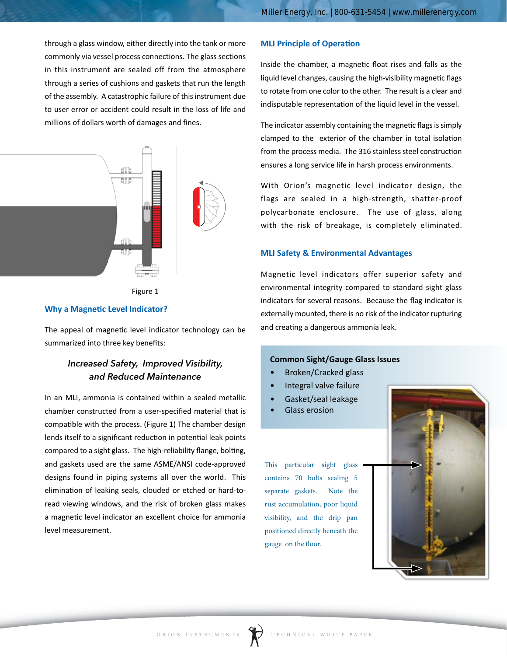through a glass window, either directly into the tank or more commonly via vessel process connections. The glass sections in this instrument are sealed off from the atmosphere through a series of cushions and gaskets that run the length of the assembly. A catastrophic failure of this instrument due to user error or accident could result in the loss of life and millions of dollars worth of damages and fines.





#### **Why a Magnetic Level Indicator?**

The appeal of magnetic level indicator technology can be summarized into three key benefits: Ammonia Level

## *Increased Safety, Improved Visibility, and Reduced Maintenance*

In an MLI, ammonia is contained within a sealed metallic chamber constructed from a user-specified material that is compatible with the process. (Figure 1) The chamber design lends itself to a significant reduction in potential leak points compared to a sight glass. The high-reliability flange, bolting, and gaskets used are the same ASME/ANSI code-approved designs found in piping systems all over the world. This elimination of leaking seals, clouded or etched or hard-toread viewing windows, and the risk of broken glass makes a magnetic level indicator an excellent choice for ammonia level measurement.

## **MLI Principle of Operation**

Inside the chamber, a magnetic float rises and falls as the liquid level changes, causing the high-visibility magnetic flags to rotate from one color to the other. The result is a clear and indisputable representation of the liquid level in the vessel.

The indicator assembly containing the magnetic flags is simply clamped to the exterior of the chamber in total isolation from the process media. The 316 stainless steel construction ensures a long service life in harsh process environments.

With Orion's magnetic level indicator design, the flags are sealed in a high-strength, shatter-proof polycarbonate enclosure. The use of glass, along with the risk of breakage, is completely eliminated.

#### **MLI Safety & Environmental Advantages**

Magnetic level indicators offer superior safety and environmental integrity compared to standard sight glass indicators for several reasons. Because the flag indicator is externally mounted, there is no risk of the indicator rupturing and creating a dangerous ammonia leak.

## **Common Sight/Gauge Glass Issues**

- Broken/Cracked glass
- Integral valve failure
- Gasket/seal leakage
- Glass erosion

This particular sight glass contains 70 bolts sealing 5 separate gaskets. Note the rust accumulation, poor liquid visibility, and the drip pan positioned directly beneath the gauge on the floor.